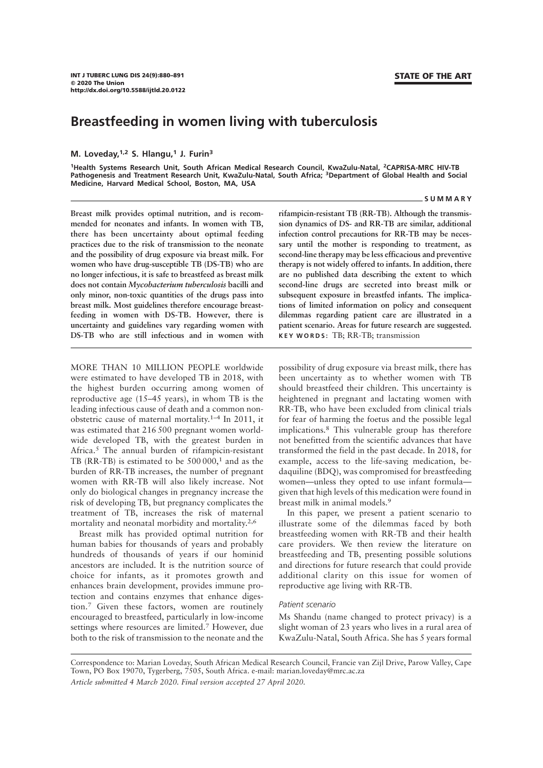# Breastfeeding in women living with tuberculosis

M. Loveday,  $1.2$  S. Hlangu,  $1$  J. Furin<sup>3</sup>

1Health Systems Research Unit, South African Medical Research Council, KwaZulu-Natal, 2CAPRISA-MRC HIV-TB Pathogenesis and Treatment Research Unit, KwaZulu-Natal, South Africa; <sup>3</sup>Department of Global Health and Social Medicine, Harvard Medical School, Boston, MA, USA

#### SUMMARY

STATE OF THE ART

Breast milk provides optimal nutrition, and is recommended for neonates and infants. In women with TB, there has been uncertainty about optimal feeding practices due to the risk of transmission to the neonate and the possibility of drug exposure via breast milk. For women who have drug-susceptible TB (DS-TB) who are no longer infectious, it is safe to breastfeed as breast milk does not contain Mycobacterium tuberculosis bacilli and only minor, non-toxic quantities of the drugs pass into breast milk. Most guidelines therefore encourage breastfeeding in women with DS-TB. However, there is uncertainty and guidelines vary regarding women with DS-TB who are still infectious and in women with

MORE THAN 10 MILLION PEOPLE worldwide were estimated to have developed TB in 2018, with the highest burden occurring among women of reproductive age (15–45 years), in whom TB is the leading infectious cause of death and a common nonobstetric cause of maternal mortality.1–4 In 2011, it was estimated that 216 500 pregnant women worldwide developed TB, with the greatest burden in Africa.<sup>5</sup> The annual burden of rifampicin-resistant TB (RR-TB) is estimated to be  $500000$ ,<sup>1</sup> and as the burden of RR-TB increases, the number of pregnant women with RR-TB will also likely increase. Not only do biological changes in pregnancy increase the risk of developing TB, but pregnancy complicates the treatment of TB, increases the risk of maternal mortality and neonatal morbidity and mortality.2,6

Breast milk has provided optimal nutrition for human babies for thousands of years and probably hundreds of thousands of years if our hominid ancestors are included. It is the nutrition source of choice for infants, as it promotes growth and enhances brain development, provides immune protection and contains enzymes that enhance digestion.<sup>7</sup> Given these factors, women are routinely encouraged to breastfeed, particularly in low-income settings where resources are limited.<sup>7</sup> However, due both to the risk of transmission to the neonate and the

rifampicin-resistant TB (RR-TB). Although the transmission dynamics of DS- and RR-TB are similar, additional infection control precautions for RR-TB may be necessary until the mother is responding to treatment, as second-line therapy may be less efficacious and preventive therapy is not widely offered to infants. In addition, there are no published data describing the extent to which second-line drugs are secreted into breast milk or subsequent exposure in breastfed infants. The implications of limited information on policy and consequent dilemmas regarding patient care are illustrated in a patient scenario. Areas for future research are suggested. KEY WORDS: TB; RR-TB; transmission

possibility of drug exposure via breast milk, there has been uncertainty as to whether women with TB should breastfeed their children. This uncertainty is heightened in pregnant and lactating women with RR-TB, who have been excluded from clinical trials for fear of harming the foetus and the possible legal implications.<sup>8</sup> This vulnerable group has therefore not benefitted from the scientific advances that have transformed the field in the past decade. In 2018, for example, access to the life-saving medication, bedaquiline (BDQ), was compromised for breastfeeding women—unless they opted to use infant formula given that high levels of this medication were found in breast milk in animal models.<sup>9</sup>

In this paper, we present a patient scenario to illustrate some of the dilemmas faced by both breastfeeding women with RR-TB and their health care providers. We then review the literature on breastfeeding and TB, presenting possible solutions and directions for future research that could provide additional clarity on this issue for women of reproductive age living with RR-TB.

#### Patient scenario

Ms Shandu (name changed to protect privacy) is a slight woman of 23 years who lives in a rural area of KwaZulu-Natal, South Africa. She has 5 years formal

Correspondence to: Marian Loveday, South African Medical Research Council, Francie van Zijl Drive, Parow Valley, Cape Town, PO Box 19070, Tygerberg, 7505, South Africa. e-mail: marian.loveday@mrc.ac.za Article submitted 4 March 2020. Final version accepted 27 April 2020.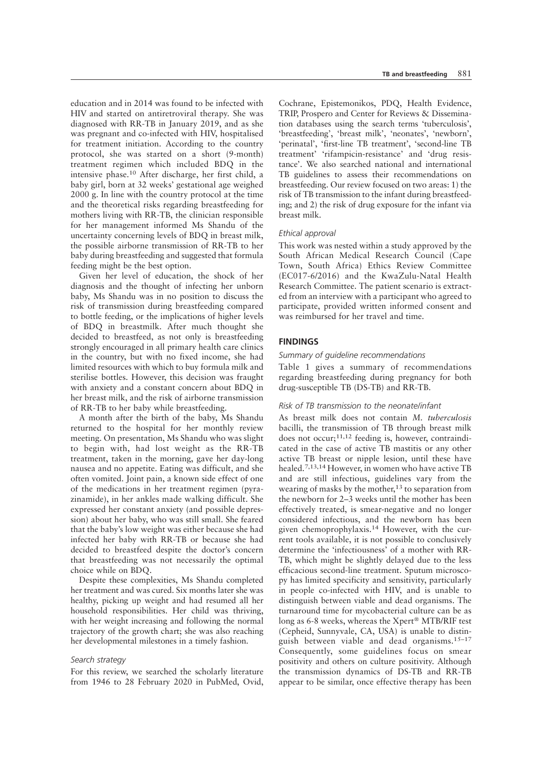education and in 2014 was found to be infected with HIV and started on antiretroviral therapy. She was diagnosed with RR-TB in January 2019, and as she was pregnant and co-infected with HIV, hospitalised for treatment initiation. According to the country protocol, she was started on a short (9-month) treatment regimen which included BDQ in the intensive phase.<sup>10</sup> After discharge, her first child, a baby girl, born at 32 weeks' gestational age weighed 2000 g. In line with the country protocol at the time and the theoretical risks regarding breastfeeding for mothers living with RR-TB, the clinician responsible for her management informed Ms Shandu of the uncertainty concerning levels of BDQ in breast milk, the possible airborne transmission of RR-TB to her baby during breastfeeding and suggested that formula feeding might be the best option.

Given her level of education, the shock of her diagnosis and the thought of infecting her unborn baby, Ms Shandu was in no position to discuss the risk of transmission during breastfeeding compared to bottle feeding, or the implications of higher levels of BDQ in breastmilk. After much thought she decided to breastfeed, as not only is breastfeeding strongly encouraged in all primary health care clinics in the country, but with no fixed income, she had limited resources with which to buy formula milk and sterilise bottles. However, this decision was fraught with anxiety and a constant concern about BDQ in her breast milk, and the risk of airborne transmission of RR-TB to her baby while breastfeeding.

A month after the birth of the baby, Ms Shandu returned to the hospital for her monthly review meeting. On presentation, Ms Shandu who was slight to begin with, had lost weight as the RR-TB treatment, taken in the morning, gave her day-long nausea and no appetite. Eating was difficult, and she often vomited. Joint pain, a known side effect of one of the medications in her treatment regimen (pyrazinamide), in her ankles made walking difficult. She expressed her constant anxiety (and possible depression) about her baby, who was still small. She feared that the baby's low weight was either because she had infected her baby with RR-TB or because she had decided to breastfeed despite the doctor's concern that breastfeeding was not necessarily the optimal choice while on BDQ.

Despite these complexities, Ms Shandu completed her treatment and was cured. Six months later she was healthy, picking up weight and had resumed all her household responsibilities. Her child was thriving, with her weight increasing and following the normal trajectory of the growth chart; she was also reaching her developmental milestones in a timely fashion.

#### Search strategy

For this review, we searched the scholarly literature from 1946 to 28 February 2020 in PubMed, Ovid,

Cochrane, Epistemonikos, PDQ, Health Evidence, TRIP, Prospero and Center for Reviews & Dissemination databases using the search terms 'tuberculosis', 'breastfeeding', 'breast milk', 'neonates', 'newborn', 'perinatal', 'first-line TB treatment', 'second-line TB treatment' 'rifampicin-resistance' and 'drug resistance'. We also searched national and international TB guidelines to assess their recommendations on breastfeeding. Our review focused on two areas: 1) the risk of TB transmission to the infant during breastfeeding; and 2) the risk of drug exposure for the infant via breast milk.

#### Ethical approval

This work was nested within a study approved by the South African Medical Research Council (Cape Town, South Africa) Ethics Review Committee (EC017-6/2016) and the KwaZulu-Natal Health Research Committee. The patient scenario is extracted from an interview with a participant who agreed to participate, provided written informed consent and was reimbursed for her travel and time.

## FINDINGS

### Summary of guideline recommendations

Table 1 gives a summary of recommendations regarding breastfeeding during pregnancy for both drug-susceptible TB (DS-TB) and RR-TB.

## Risk of TB transmission to the neonate/infant

As breast milk does not contain M. tuberculosis bacilli, the transmission of TB through breast milk does not occur;11,12 feeding is, however, contraindicated in the case of active TB mastitis or any other active TB breast or nipple lesion, until these have healed.7,13,14 However, in women who have active TB and are still infectious, guidelines vary from the wearing of masks by the mother,13 to separation from the newborn for 2–3 weeks until the mother has been effectively treated, is smear-negative and no longer considered infectious, and the newborn has been given chemoprophylaxis.<sup>14</sup> However, with the current tools available, it is not possible to conclusively determine the 'infectiousness' of a mother with RR-TB, which might be slightly delayed due to the less efficacious second-line treatment. Sputum microscopy has limited specificity and sensitivity, particularly in people co-infected with HIV, and is unable to distinguish between viable and dead organisms. The turnaround time for mycobacterial culture can be as long as 6-8 weeks, whereas the  $Xpert^{\circledR} MTB/RIF$  test (Cepheid, Sunnyvale, CA, USA) is unable to distinguish between viable and dead organisms.15–17 Consequently, some guidelines focus on smear positivity and others on culture positivity. Although the transmission dynamics of DS-TB and RR-TB appear to be similar, once effective therapy has been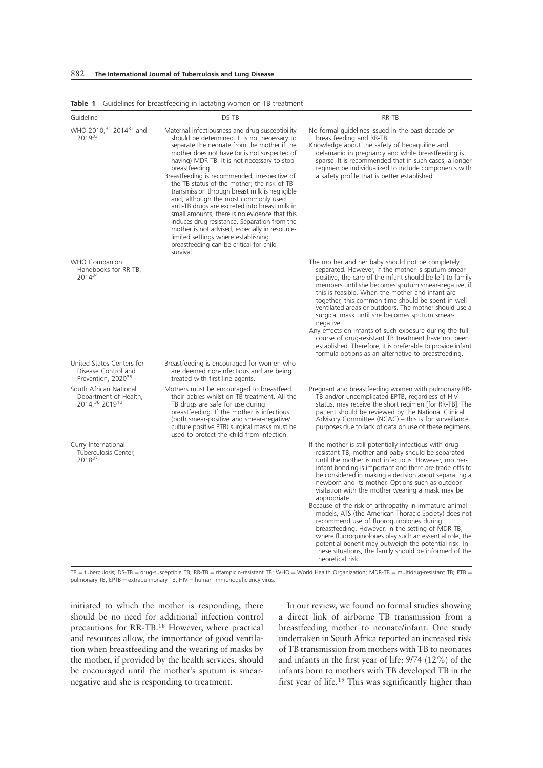| Guideline                                                                          | DS-TB                                                                                                                                                                                                                                                                                                                                                                                                                                                                                                                                                                                                                                                                                                                                                         | RR-TB                                                                                                                                                                                                                                                                                                                                                                                                                                                                                                                                                                                                                                                                                                                                                                                                                                |
|------------------------------------------------------------------------------------|---------------------------------------------------------------------------------------------------------------------------------------------------------------------------------------------------------------------------------------------------------------------------------------------------------------------------------------------------------------------------------------------------------------------------------------------------------------------------------------------------------------------------------------------------------------------------------------------------------------------------------------------------------------------------------------------------------------------------------------------------------------|--------------------------------------------------------------------------------------------------------------------------------------------------------------------------------------------------------------------------------------------------------------------------------------------------------------------------------------------------------------------------------------------------------------------------------------------------------------------------------------------------------------------------------------------------------------------------------------------------------------------------------------------------------------------------------------------------------------------------------------------------------------------------------------------------------------------------------------|
| WHO 2010. <sup>31</sup> 2014 <sup>32</sup> and<br>201933                           | Maternal infectiousness and drug susceptibility<br>should be determined. It is not necessary to<br>separate the neonate from the mother if the<br>mother does not have (or is not suspected of<br>having) MDR-TB. It is not necessary to stop<br>breastfeeding.<br>Breastfeeding is recommended, irrespective of<br>the TB status of the mother; the risk of TB<br>transmission through breast milk is negligible<br>and, although the most commonly used<br>anti-TB drugs are excreted into breast milk in<br>small amounts, there is no evidence that this<br>induces drug resistance. Separation from the<br>mother is not advised, especially in resource-<br>limited settings where establishing<br>breastfeeding can be critical for child<br>survival. | No formal quidelines issued in the past decade on<br>breastfeeding and RR-TB<br>Knowledge about the safety of bedaquiline and<br>delamanid in pregnancy and while breastfeeding is<br>sparse. It is recommended that in such cases, a longer<br>regimen be individualized to include components with<br>a safety profile that is better established.                                                                                                                                                                                                                                                                                                                                                                                                                                                                                 |
| <b>WHO Companion</b><br>Handbooks for RR-TB,<br>201434                             |                                                                                                                                                                                                                                                                                                                                                                                                                                                                                                                                                                                                                                                                                                                                                               | The mother and her baby should not be completely<br>separated. However, if the mother is sputum smear-<br>positive, the care of the infant should be left to family<br>members until she becomes sputum smear-negative, if<br>this is feasible. When the mother and infant are<br>together, this common time should be spent in well-<br>ventilated areas or outdoors. The mother should use a<br>surgical mask until she becomes sputum smear-<br>negative.<br>Any effects on infants of such exposure during the full<br>course of drug-resistant TB treatment have not been<br>established. Therefore, it is preferable to provide infant<br>formula options as an alternative to breastfeeding.                                                                                                                                  |
| United States Centers for<br>Disease Control and<br>Prevention, 2020 <sup>35</sup> | Breastfeeding is encouraged for women who<br>are deemed non-infectious and are being<br>treated with first-line agents.                                                                                                                                                                                                                                                                                                                                                                                                                                                                                                                                                                                                                                       |                                                                                                                                                                                                                                                                                                                                                                                                                                                                                                                                                                                                                                                                                                                                                                                                                                      |
| South African National<br>Department of Health,<br>2014, 36 201910                 | Mothers must be encouraged to breastfeed<br>their babies whilst on TB treatment. All the<br>TB drugs are safe for use during<br>breastfeeding. If the mother is infectious<br>(both smear-positive and smear-negative/<br>culture positive PTB) surgical masks must be<br>used to protect the child from infection.                                                                                                                                                                                                                                                                                                                                                                                                                                           | Pregnant and breastfeeding women with pulmonary RR-<br>TB and/or uncomplicated EPTB, regardless of HIV<br>status, may receive the short regimen [for RR-TB]. The<br>patient should be reviewed by the National Clinical<br>Advisory Committee (NCAC) – this is for surveillance<br>purposes due to lack of data on use of these regimens.                                                                                                                                                                                                                                                                                                                                                                                                                                                                                            |
| Curry International<br>Tuberculosis Center,<br>201837                              |                                                                                                                                                                                                                                                                                                                                                                                                                                                                                                                                                                                                                                                                                                                                                               | If the mother is still potentially infectious with drug-<br>resistant TB, mother and baby should be separated<br>until the mother is not infectious. However, mother-<br>infant bonding is important and there are trade-offs to<br>be considered in making a decision about separating a<br>newborn and its mother. Options such as outdoor<br>visitation with the mother wearing a mask may be<br>appropriate.<br>Because of the risk of arthropathy in immature animal<br>models, ATS (the American Thoracic Society) does not<br>recommend use of fluoroquinolones during<br>breastfeeding. However, in the setting of MDR-TB,<br>where fluoroquinolones play such an essential role, the<br>potential benefit may outweigh the potential risk. In<br>these situations, the family should be informed of the<br>theoretical risk |

Table 1 Guidelines for breastfeeding in lactating women on TB treatment

 $TB =$  tuberculosis; DS-TB = drug-susceptible TB; RR-TB = rifampicin-resistant TB; WHO = World Health Organization; MDR-TB = multidrug-resistant TB; PTB = pulmonary TB; EPTB =  $ext{extrapulmonary TB}$ ; HIV = human immunodeficiency virus.

initiated to which the mother is responding, there should be no need for additional infection control precautions for RR-TB.18 However, where practical and resources allow, the importance of good ventilation when breastfeeding and the wearing of masks by the mother, if provided by the health services, should be encouraged until the mother's sputum is smearnegative and she is responding to treatment.

In our review, we found no formal studies showing a direct link of airborne TB transmission from a breastfeeding mother to neonate/infant. One study undertaken in South Africa reported an increased risk of TB transmission from mothers with TB to neonates and infants in the first year of life: 9/74 (12%) of the infants born to mothers with TB developed TB in the first year of life.<sup>19</sup> This was significantly higher than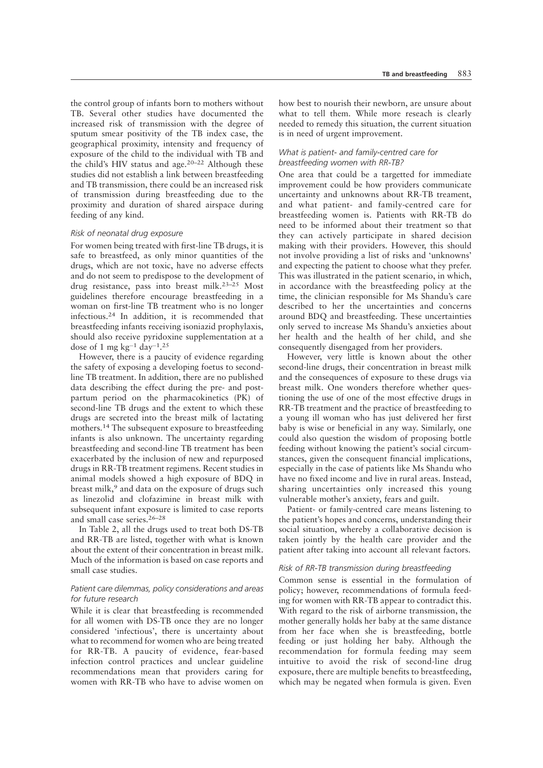the control group of infants born to mothers without TB. Several other studies have documented the increased risk of transmission with the degree of sputum smear positivity of the TB index case, the geographical proximity, intensity and frequency of exposure of the child to the individual with TB and the child's HIV status and age.20–22 Although these studies did not establish a link between breastfeeding and TB transmission, there could be an increased risk of transmission during breastfeeding due to the proximity and duration of shared airspace during feeding of any kind.

## Risk of neonatal drug exposure

For women being treated with first-line TB drugs, it is safe to breastfeed, as only minor quantities of the drugs, which are not toxic, have no adverse effects and do not seem to predispose to the development of drug resistance, pass into breast milk.23–25 Most guidelines therefore encourage breastfeeding in a woman on first-line TB treatment who is no longer infectious.<sup>24</sup> In addition, it is recommended that breastfeeding infants receiving isoniazid prophylaxis, should also receive pyridoxine supplementation at a dose of 1 mg  $kg^{-1}$  day<sup>-1</sup>.<sup>25</sup>

However, there is a paucity of evidence regarding the safety of exposing a developing foetus to secondline TB treatment. In addition, there are no published data describing the effect during the pre- and postpartum period on the pharmacokinetics (PK) of second-line TB drugs and the extent to which these drugs are secreted into the breast milk of lactating mothers.<sup>14</sup> The subsequent exposure to breastfeeding infants is also unknown. The uncertainty regarding breastfeeding and second-line TB treatment has been exacerbated by the inclusion of new and repurposed drugs in RR-TB treatment regimens. Recent studies in animal models showed a high exposure of BDQ in breast milk,<sup>9</sup> and data on the exposure of drugs such as linezolid and clofazimine in breast milk with subsequent infant exposure is limited to case reports and small case series.26–28

In Table 2, all the drugs used to treat both DS-TB and RR-TB are listed, together with what is known about the extent of their concentration in breast milk. Much of the information is based on case reports and small case studies.

## Patient care dilemmas, policy considerations and areas for future research

While it is clear that breastfeeding is recommended for all women with DS-TB once they are no longer considered 'infectious', there is uncertainty about what to recommend for women who are being treated for RR-TB. A paucity of evidence, fear-based infection control practices and unclear guideline recommendations mean that providers caring for women with RR-TB who have to advise women on how best to nourish their newborn, are unsure about what to tell them. While more reseach is clearly needed to remedy this situation, the current situation is in need of urgent improvement.

## What is patient- and family-centred care for breastfeeding women with RR-TB?

One area that could be a targetted for immediate improvement could be how providers communicate uncertainty and unknowns about RR-TB treament, and what patient- and family-centred care for breastfeeding women is. Patients with RR-TB do need to be informed about their treatment so that they can actively participate in shared decision making with their providers. However, this should not involve providing a list of risks and 'unknowns' and expecting the patient to choose what they prefer. This was illustrated in the patient scenario, in which, in accordance with the breastfeeding policy at the time, the clinician responsible for Ms Shandu's care described to her the uncertainties and concerns around BDQ and breastfeeding. These uncertainties only served to increase Ms Shandu's anxieties about her health and the health of her child, and she consequently disengaged from her providers.

However, very little is known about the other second-line drugs, their concentration in breast milk and the consequences of exposure to these drugs via breast milk. One wonders therefore whether questioning the use of one of the most effective drugs in RR-TB treatment and the practice of breastfeeding to a young ill woman who has just delivered her first baby is wise or beneficial in any way. Similarly, one could also question the wisdom of proposing bottle feeding without knowing the patient's social circumstances, given the consequent financial implications, especially in the case of patients like Ms Shandu who have no fixed income and live in rural areas. Instead, sharing uncertainties only increased this young vulnerable mother's anxiety, fears and guilt.

Patient- or family-centred care means listening to the patient's hopes and concerns, understanding their social situation, whereby a collaborative decision is taken jointly by the health care provider and the patient after taking into account all relevant factors.

### Risk of RR-TB transmission during breastfeeding

Common sense is essential in the formulation of policy; however, recommendations of formula feeding for women with RR-TB appear to contradict this. With regard to the risk of airborne transmission, the mother generally holds her baby at the same distance from her face when she is breastfeeding, bottle feeding or just holding her baby. Although the recommendation for formula feeding may seem intuitive to avoid the risk of second-line drug exposure, there are multiple benefits to breastfeeding, which may be negated when formula is given. Even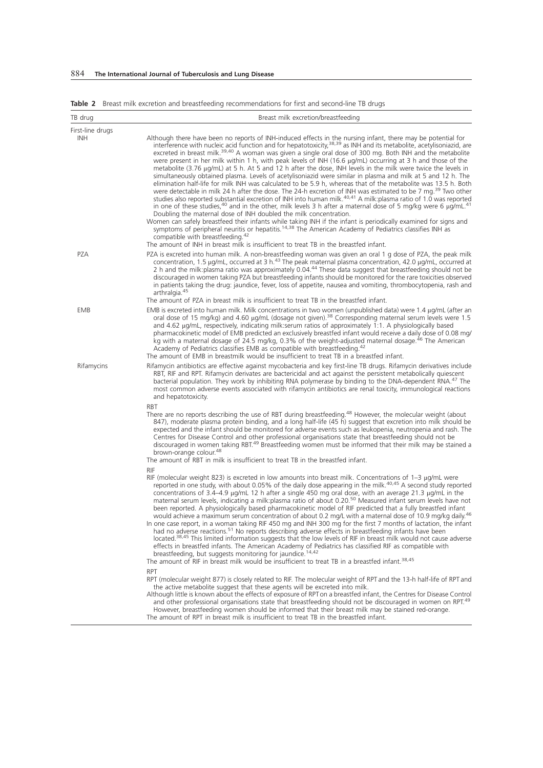|  | Table 2 Breast milk excretion and breastfeeding recommendations for first and second-line TB drugs |
|--|----------------------------------------------------------------------------------------------------|

| TB drug                        | Breast milk excretion/breastfeeding                                                                                                                                                                                                                                                                                                                                                                                                                                                                                                                                                                                                                                                                                                                                                                                                                                                                                                                                                                                                                                                                                                                                                                                                                                                                                                                                                                                                                                                                             |
|--------------------------------|-----------------------------------------------------------------------------------------------------------------------------------------------------------------------------------------------------------------------------------------------------------------------------------------------------------------------------------------------------------------------------------------------------------------------------------------------------------------------------------------------------------------------------------------------------------------------------------------------------------------------------------------------------------------------------------------------------------------------------------------------------------------------------------------------------------------------------------------------------------------------------------------------------------------------------------------------------------------------------------------------------------------------------------------------------------------------------------------------------------------------------------------------------------------------------------------------------------------------------------------------------------------------------------------------------------------------------------------------------------------------------------------------------------------------------------------------------------------------------------------------------------------|
| First-line drugs<br><b>INH</b> | Although there have been no reports of INH-induced effects in the nursing infant, there may be potential for                                                                                                                                                                                                                                                                                                                                                                                                                                                                                                                                                                                                                                                                                                                                                                                                                                                                                                                                                                                                                                                                                                                                                                                                                                                                                                                                                                                                    |
|                                | interference with nucleic acid function and for hepatotoxicity, <sup>38,39</sup> as INH and its metabolite, acetylisoniazid, are<br>excreted in breast milk. <sup>39,40</sup> A woman was given a single oral dose of 300 mg. Both INH and the metabolite<br>were present in her milk within 1 h, with peak levels of INH (16.6 $\mu q/mL$ ) occurring at 3 h and those of the<br>metabolite $(3.76 \mu q/mL)$ at 5 h. At 5 and 12 h after the dose, INH levels in the milk were twice the levels in<br>simultaneously obtained plasma. Levels of acetylisoniazid were similar in plasma and milk at 5 and 12 h. The<br>elimination half-life for milk INH was calculated to be 5.9 h, whereas that of the metabolite was 13.5 h. Both<br>were detectable in milk 24 h after the dose. The 24-h excretion of INH was estimated to be 7 mg. <sup>39</sup> Two other<br>studies also reported substantial excretion of INH into human milk. <sup>40,41</sup> A milk:plasma ratio of 1.0 was reported<br>in one of these studies, <sup>40</sup> and in the other, milk levels 3 h after a maternal dose of 5 mg/kg were 6 $\mu$ g/mL. <sup>41</sup><br>Doubling the maternal dose of INH doubled the milk concentration.<br>Women can safely breastfeed their infants while taking INH if the infant is periodically examined for signs and<br>symptoms of peripheral neuritis or hepatitis. <sup>14,38</sup> The American Academy of Pediatrics classifies INH as<br>compatible with breastfeeding. <sup>42</sup> |
|                                | The amount of INH in breast milk is insufficient to treat TB in the breastfed infant.                                                                                                                                                                                                                                                                                                                                                                                                                                                                                                                                                                                                                                                                                                                                                                                                                                                                                                                                                                                                                                                                                                                                                                                                                                                                                                                                                                                                                           |
| PZA                            | PZA is excreted into human milk. A non-breastfeeding woman was given an oral 1 g dose of PZA, the peak milk<br>concentration, 1.5 $\mu$ g/mL, occurred at 3 h. <sup>43</sup> The peak maternal plasma concentration, 42.0 $\mu$ g/mL, occurred at<br>2 h and the milk:plasma ratio was approximately 0.04.44 These data suggest that breastfeeding should not be<br>discouraged in women taking PZA but breastfeeding infants should be monitored for the rare toxicities observed<br>in patients taking the drug: jaundice, fever, loss of appetite, nausea and vomiting, thrombocytopenia, rash and<br>arthralgia. <sup>45</sup>                                                                                                                                                                                                                                                                                                                                                                                                                                                                                                                                                                                                                                                                                                                                                                                                                                                                              |
|                                | The amount of PZA in breast milk is insufficient to treat TB in the breastfed infant.                                                                                                                                                                                                                                                                                                                                                                                                                                                                                                                                                                                                                                                                                                                                                                                                                                                                                                                                                                                                                                                                                                                                                                                                                                                                                                                                                                                                                           |
| <b>EMB</b>                     | EMB is excreted into human milk. Milk concentrations in two women (unpublished data) were 1.4 µg/mL (after an<br>oral dose of 15 mg/kg) and 4.60 µg/mL (dosage not given). <sup>38</sup> Corresponding maternal serum levels were 1.5<br>and 4.62 µg/mL, respectively, indicating milk:serum ratios of approximately 1:1. A physiologically based<br>pharmacokinetic model of EMB predicted an exclusively breastfed infant would receive a daily dose of 0.08 mg/<br>kg with a maternal dosage of 24.5 mg/kg, 0.3% of the weight-adjusted maternal dosage. <sup>46</sup> The American<br>Academy of Pediatrics classifies EMB as compatible with breastfeeding. <sup>42</sup><br>The amount of EMB in breastmilk would be insufficient to treat TB in a breastfed infant.                                                                                                                                                                                                                                                                                                                                                                                                                                                                                                                                                                                                                                                                                                                                      |
| Rifamycins                     | Rifamycin antibiotics are effective against mycobacteria and key first-line TB drugs. Rifamycin derivatives include<br>RBT, RIF and RPT. Rifamycin derivates are bactericidal and act against the persistent metabolically quiescent<br>bacterial population. They work by inhibiting RNA polymerase by binding to the DNA-dependent RNA. <sup>47</sup> The<br>most common adverse events associated with rifamycin antibiotics are renal toxicity, immunological reactions<br>and hepatotoxicity.                                                                                                                                                                                                                                                                                                                                                                                                                                                                                                                                                                                                                                                                                                                                                                                                                                                                                                                                                                                                              |
|                                | RBT                                                                                                                                                                                                                                                                                                                                                                                                                                                                                                                                                                                                                                                                                                                                                                                                                                                                                                                                                                                                                                                                                                                                                                                                                                                                                                                                                                                                                                                                                                             |
|                                | There are no reports describing the use of RBT during breastfeeding. <sup>48</sup> However, the molecular weight (about<br>847), moderate plasma protein binding, and a long half-life (45 h) suggest that excretion into milk should be<br>expected and the infant should be monitored for adverse events such as leukopenia, neutropenia and rash. The<br>Centres for Disease Control and other professional organisations state that breastfeeding should not be<br>discouraged in women taking RBT. <sup>49</sup> Breastfeeding women must be informed that their milk may be stained a<br>brown-orange colour. <sup>48</sup>                                                                                                                                                                                                                                                                                                                                                                                                                                                                                                                                                                                                                                                                                                                                                                                                                                                                               |
|                                | The amount of RBT in milk is insufficient to treat TB in the breastfed infant.<br><b>RIF</b>                                                                                                                                                                                                                                                                                                                                                                                                                                                                                                                                                                                                                                                                                                                                                                                                                                                                                                                                                                                                                                                                                                                                                                                                                                                                                                                                                                                                                    |
|                                | RIF (molecular weight 823) is excreted in low amounts into breast milk. Concentrations of 1-3 µg/mL were<br>reported in one study, with about 0.05% of the daily dose appearing in the milk. <sup>40,45</sup> A second study reported<br>concentrations of 3.4–4.9 $\mu$ g/mL 12 h after a single 450 mg oral dose, with an average 21.3 $\mu$ g/mL in the<br>maternal serum levels, indicating a milk:plasma ratio of about 0.20. <sup>50</sup> Measured infant serum levels have not<br>been reported. A physiologically based pharmacokinetic model of RIF predicted that a fully breastfed infant<br>would achieve a maximum serum concentration of about 0.2 mg/L with a maternal dose of 10.9 mg/kg daily. <sup>46</sup><br>In one case report, in a woman taking RIF 450 mg and INH 300 mg for the first 7 months of lactation, the infant<br>had no adverse reactions. <sup>51</sup> No reports describing adverse effects in breastfeeding infants have been<br>located. <sup>38,45</sup> This limited information suggests that the low levels of RIF in breast milk would not cause adverse<br>effects in breastfed infants. The American Academy of Pediatrics has classified RIF as compatible with<br>breastfeeding, but suggests monitoring for jaundice. <sup>14,42</sup>                                                                                                                                                                                                                       |
|                                | The amount of RIF in breast milk would be insufficient to treat TB in a breastfed infant. <sup>38,45</sup>                                                                                                                                                                                                                                                                                                                                                                                                                                                                                                                                                                                                                                                                                                                                                                                                                                                                                                                                                                                                                                                                                                                                                                                                                                                                                                                                                                                                      |
|                                | <b>RPT</b><br>RPT (molecular weight 877) is closely related to RIF. The molecular weight of RPT and the 13-h half-life of RPT and<br>the active metabolite suggest that these agents will be excreted into milk.                                                                                                                                                                                                                                                                                                                                                                                                                                                                                                                                                                                                                                                                                                                                                                                                                                                                                                                                                                                                                                                                                                                                                                                                                                                                                                |
|                                | Although little is known about the effects of exposure of RPT on a breastfed infant, the Centres for Disease Control<br>and other professional organisations state that breastfeeding should not be discouraged in women on RPT.49<br>However, breastfeeding women should be informed that their breast milk may be stained red-orange.<br>The amount of RPT in breast milk is insufficient to treat TB in the breastfed infant.                                                                                                                                                                                                                                                                                                                                                                                                                                                                                                                                                                                                                                                                                                                                                                                                                                                                                                                                                                                                                                                                                |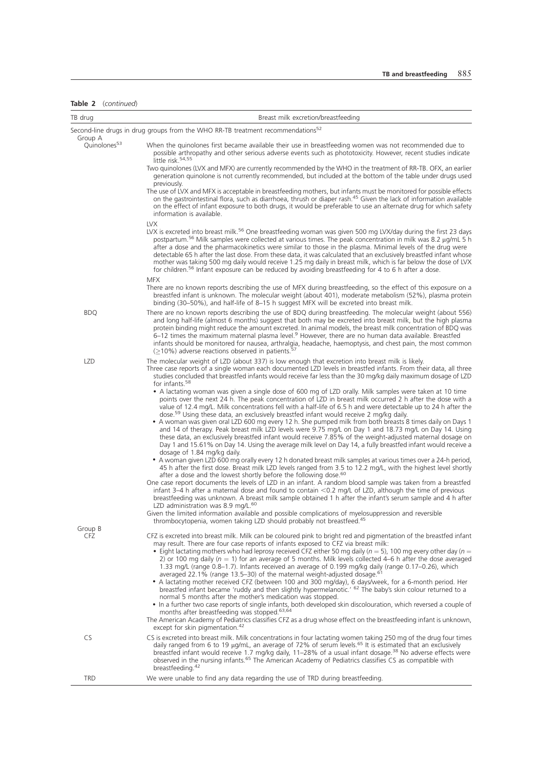Table 2 (continued)

| TB drug                             | Breast milk excretion/breastfeeding                                                                                                                                                                                                                                                                                                                                                                                                                                                                                                                                                                                                                                                                                                                                                                                                                                                                                                                                                                                                                                                                                                      |
|-------------------------------------|------------------------------------------------------------------------------------------------------------------------------------------------------------------------------------------------------------------------------------------------------------------------------------------------------------------------------------------------------------------------------------------------------------------------------------------------------------------------------------------------------------------------------------------------------------------------------------------------------------------------------------------------------------------------------------------------------------------------------------------------------------------------------------------------------------------------------------------------------------------------------------------------------------------------------------------------------------------------------------------------------------------------------------------------------------------------------------------------------------------------------------------|
|                                     | Second-line drugs in drug groups from the WHO RR-TB treatment recommendations <sup>52</sup>                                                                                                                                                                                                                                                                                                                                                                                                                                                                                                                                                                                                                                                                                                                                                                                                                                                                                                                                                                                                                                              |
| Group A<br>Quinolones <sup>53</sup> | When the quinolones first became available their use in breastfeeding women was not recommended due to<br>possible arthropathy and other serious adverse events such as phototoxicity. However, recent studies indicate<br>little risk. <sup>54,55</sup>                                                                                                                                                                                                                                                                                                                                                                                                                                                                                                                                                                                                                                                                                                                                                                                                                                                                                 |
|                                     | Two quinolones (LVX and MFX) are currently recommended by the WHO in the treatment of RR-TB. OFX, an earlier<br>generation quinolone is not currently recommended, but included at the bottom of the table under drugs used<br>previously.                                                                                                                                                                                                                                                                                                                                                                                                                                                                                                                                                                                                                                                                                                                                                                                                                                                                                               |
|                                     | The use of LVX and MFX is acceptable in breastfeeding mothers, but infants must be monitored for possible effects<br>on the gastrointestinal flora, such as diarrhoea, thrush or diaper rash. <sup>45</sup> Given the lack of information available<br>on the effect of infant exposure to both drugs, it would be preferable to use an alternate drug for which safety<br>information is available.                                                                                                                                                                                                                                                                                                                                                                                                                                                                                                                                                                                                                                                                                                                                     |
|                                     | <b>LVX</b><br>LVX is excreted into breast milk. <sup>56</sup> One breastfeeding woman was given 500 mg LVX/day during the first 23 days<br>postpartum. <sup>56</sup> Milk samples were collected at various times. The peak concentration in milk was 8.2 µg/mL 5 h                                                                                                                                                                                                                                                                                                                                                                                                                                                                                                                                                                                                                                                                                                                                                                                                                                                                      |
|                                     | after a dose and the pharmacokinetics were similar to those in the plasma. Minimal levels of the drug were<br>detectable 65 h after the last dose. From these data, it was calculated that an exclusively breastfed infant whose<br>mother was taking 500 mg daily would receive 1.25 mg daily in breast milk, which is far below the dose of LVX<br>for children. <sup>56</sup> Infant exposure can be reduced by avoiding breastfeeding for 4 to 6 h after a dose.                                                                                                                                                                                                                                                                                                                                                                                                                                                                                                                                                                                                                                                                     |
|                                     | <b>MFX</b><br>There are no known reports describing the use of MFX during breastfeeding, so the effect of this exposure on a<br>breastfed infant is unknown. The molecular weight (about 401), moderate metabolism (52%), plasma protein<br>binding (30–50%), and half-life of 8–15 h suggest MFX will be excreted into breast milk.                                                                                                                                                                                                                                                                                                                                                                                                                                                                                                                                                                                                                                                                                                                                                                                                     |
| <b>BDQ</b>                          | There are no known reports describing the use of BDQ during breastfeeding. The molecular weight (about 556)<br>and long half-life (almost 6 months) suggest that both may be excreted into breast milk, but the high plasma<br>protein binding might reduce the amount excreted. In animal models, the breast milk concentration of BDQ was<br>$6-12$ times the maximum maternal plasma level. <sup>9</sup> However, there are no human data available. Breastfed<br>infants should be monitored for nausea, arthralgia, headache, haemoptysis, and chest pain, the most common<br>$($ >10%) adverse reactions observed in patients. $57$                                                                                                                                                                                                                                                                                                                                                                                                                                                                                                |
| <b>LZD</b>                          | The molecular weight of LZD (about 337) is low enough that excretion into breast milk is likely.<br>Three case reports of a single woman each documented LZD levels in breastfed infants. From their data, all three<br>studies concluded that breastfed infants would receive far less than the 30 mg/kg daily maximum dosage of LZD<br>for infants. <sup>58</sup>                                                                                                                                                                                                                                                                                                                                                                                                                                                                                                                                                                                                                                                                                                                                                                      |
|                                     | • A lactating woman was given a single dose of 600 mg of LZD orally. Milk samples were taken at 10 time<br>points over the next 24 h. The peak concentration of LZD in breast milk occurred 2 h after the dose with a<br>value of 12.4 mg/L. Milk concentrations fell with a half-life of 6.5 h and were detectable up to 24 h after the<br>dose. <sup>59</sup> Using these data, an exclusively breastfed infant would receive 2 mg/kg daily.<br>• A woman was given oral LZD 600 mg every 12 h. She pumped milk from both breasts 8 times daily on Days 1<br>and 14 of therapy. Peak breast milk LZD levels were 9.75 mg/L on Day 1 and 18.73 mg/L on Day 14. Using<br>these data, an exclusively breastfed infant would receive 7.85% of the weight-adjusted maternal dosage on<br>Day 1 and 15.61% on Day 14. Using the average milk level on Day 14, a fully breastfed infant would receive a<br>dosage of 1.84 mg/kg daily.                                                                                                                                                                                                        |
|                                     | • A woman given LZD 600 mg orally every 12 h donated breast milk samples at various times over a 24-h period,<br>45 h after the first dose. Breast milk LZD levels ranged from 3.5 to 12.2 mg/L, with the highest level shortly<br>after a dose and the lowest shortly before the following dose. <sup>60</sup><br>One case report documents the levels of LZD in an infant. A random blood sample was taken from a breastfed<br>infant 3-4 h after a maternal dose and found to contain <0.2 mg/L of LZD, although the time of previous<br>breastfeeding was unknown. A breast milk sample obtained 1 h after the infant's serum sample and 4 h after<br>LZD administration was 8.9 mg/L. <sup>60</sup>                                                                                                                                                                                                                                                                                                                                                                                                                                 |
|                                     | Given the limited information available and possible complications of myelosuppression and reversible<br>thrombocytopenia, women taking LZD should probably not breastfeed. <sup>45</sup>                                                                                                                                                                                                                                                                                                                                                                                                                                                                                                                                                                                                                                                                                                                                                                                                                                                                                                                                                |
| Group B                             |                                                                                                                                                                                                                                                                                                                                                                                                                                                                                                                                                                                                                                                                                                                                                                                                                                                                                                                                                                                                                                                                                                                                          |
| CFZ                                 | CFZ is excreted into breast milk. Milk can be coloured pink to bright red and pigmentation of the breastfed infant<br>may result. There are four case reports of infants exposed to CFZ via breast milk:<br>• Eight lactating mothers who had leprosy received CFZ either 50 mg daily ( $n = 5$ ), 100 mg every other day ( $n = 5$ )<br>2) or 100 mg daily ( $n = 1$ ) for an average of 5 months. Milk levels collected 4–6 h after the dose averaged<br>1.33 mg/L (range 0.8–1.7). Infants received an average of 0.199 mg/kg daily (range 0.17–0.26), which<br>averaged 22.1% (range 13.5-30) of the maternal weight-adjusted dosage. <sup>61</sup><br>• A lactating mother received CFZ (between 100 and 300 mg/day), 6 days/week, for a 6-month period. Her<br>breastfed infant became 'ruddy and then slightly hypermelanotic.' <sup>62</sup> The baby's skin colour returned to a<br>normal 5 months after the mother's medication was stopped.<br>. In a further two case reports of single infants, both developed skin discolouration, which reversed a couple of<br>months after breastfeeding was stopped. <sup>63,64</sup> |
|                                     | The American Academy of Pediatrics classifies CFZ as a drug whose effect on the breastfeeding infant is unknown,<br>except for skin pigmentation. <sup>42</sup>                                                                                                                                                                                                                                                                                                                                                                                                                                                                                                                                                                                                                                                                                                                                                                                                                                                                                                                                                                          |
| CS                                  | CS is excreted into breast milk. Milk concentrations in four lactating women taking 250 mg of the drug four times<br>daily ranged from 6 to 19 µg/mL, an average of 72% of serum levels. <sup>65</sup> It is estimated that an exclusively<br>breastfed infant would receive 1.7 mg/kg daily, 11-28% of a usual infant dosage. <sup>38</sup> No adverse effects were<br>observed in the nursing infants. <sup>65</sup> The American Academy of Pediatrics classifies CS as compatible with<br>breastfeeding. <sup>42</sup>                                                                                                                                                                                                                                                                                                                                                                                                                                                                                                                                                                                                               |
| <b>TRD</b>                          | We were unable to find any data regarding the use of TRD during breastfeeding.                                                                                                                                                                                                                                                                                                                                                                                                                                                                                                                                                                                                                                                                                                                                                                                                                                                                                                                                                                                                                                                           |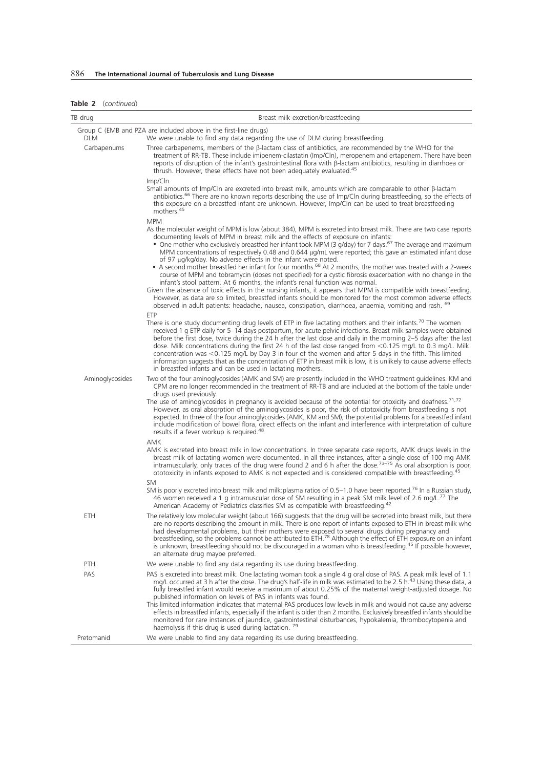#### Table 2 (continued)

| TB drug         | Breast milk excretion/breastfeeding                                                                                                                                                                                                                                                                                                                                                                                                                                                                                                                                                                                                                                                                                                                                                                                                                                                                                                                                                                                                                                                                                                                                                                       |
|-----------------|-----------------------------------------------------------------------------------------------------------------------------------------------------------------------------------------------------------------------------------------------------------------------------------------------------------------------------------------------------------------------------------------------------------------------------------------------------------------------------------------------------------------------------------------------------------------------------------------------------------------------------------------------------------------------------------------------------------------------------------------------------------------------------------------------------------------------------------------------------------------------------------------------------------------------------------------------------------------------------------------------------------------------------------------------------------------------------------------------------------------------------------------------------------------------------------------------------------|
| <b>DLM</b>      | Group C (EMB and PZA are included above in the first-line drugs)<br>We were unable to find any data regarding the use of DLM during breastfeeding.                                                                                                                                                                                                                                                                                                                                                                                                                                                                                                                                                                                                                                                                                                                                                                                                                                                                                                                                                                                                                                                        |
| Carbapenums     | Three carbapenems, members of the $\beta$ -lactam class of antibiotics, are recommended by the WHO for the<br>treatment of RR-TB. These include imipenem-cilastatin (Imp/Cln), meropenem and ertapenem. There have been<br>reports of disruption of the infant's gastrointestinal flora with $\beta$ -lactam antibiotics, resulting in diarrhoea or<br>thrush. However, these effects have not been adequately evaluated. <sup>45</sup>                                                                                                                                                                                                                                                                                                                                                                                                                                                                                                                                                                                                                                                                                                                                                                   |
|                 | Imp/CIn<br>Small amounts of Imp/Cln are excreted into breast milk, amounts which are comparable to other $\beta$ -lactam<br>antibiotics. <sup>66</sup> There are no known reports describing the use of Imp/Cln during breastfeeding, so the effects of<br>this exposure on a breastfed infant are unknown. However, Imp/Cln can be used to treat breastfeeding<br>mothers. <sup>45</sup>                                                                                                                                                                                                                                                                                                                                                                                                                                                                                                                                                                                                                                                                                                                                                                                                                 |
|                 | <b>MPM</b><br>As the molecular weight of MPM is low (about 384), MPM is excreted into breast milk. There are two case reports<br>documenting levels of MPM in breast milk and the effects of exposure on infants:<br>• One mother who exclusively breastfed her infant took MPM (3 g/day) for 7 days. <sup>67</sup> The average and maximum<br>MPM concentrations of respectively 0.48 and 0.644 µg/mL were reported; this gave an estimated infant dose<br>of 97 μg/kg/day. No adverse effects in the infant were noted.<br>• A second mother breastfed her infant for four months. <sup>68</sup> At 2 months, the mother was treated with a 2-week<br>course of MPM and tobramycin (doses not specified) for a cystic fibrosis exacerbation with no change in the<br>infant's stool pattern. At 6 months, the infant's renal function was normal.<br>Given the absence of toxic effects in the nursing infants, it appears that MPM is compatible with breastfeeding.<br>However, as data are so limited, breastfed infants should be monitored for the most common adverse effects<br>observed in adult patients: headache, nausea, constipation, diarrhoea, anaemia, vomiting and rash. <sup>69</sup> |
|                 | ETP<br>There is one study documenting drug levels of ETP in five lactating mothers and their infants. <sup>70</sup> The women<br>received 1 g ETP daily for 5-14 days postpartum, for acute pelvic infections. Breast milk samples were obtained<br>before the first dose, twice during the 24 h after the last dose and daily in the morning 2–5 days after the last<br>dose. Milk concentrations during the first 24 h of the last dose ranged from $<$ 0.125 mg/L to 0.3 mg/L. Milk<br>concentration was $\leq$ 0.125 mg/L by Day 3 in four of the women and after 5 days in the fifth. This limited<br>information suggests that as the concentration of ETP in breast milk is low, it is unlikely to cause adverse effects<br>in breastfed infants and can be used in lactating mothers.                                                                                                                                                                                                                                                                                                                                                                                                             |
| Aminoglycosides | Two of the four aminoglycosides (AMK and SM) are presently included in the WHO treatment guidelines. KM and<br>CPM are no longer recommended in the treatment of RR-TB and are included at the bottom of the table under<br>drugs used previously.<br>The use of aminoglycosides in pregnancy is avoided because of the potential for otoxicity and deafness. <sup>71,72</sup><br>However, as oral absorption of the aminoglycosides is poor, the risk of ototoxicity from breastfeeding is not                                                                                                                                                                                                                                                                                                                                                                                                                                                                                                                                                                                                                                                                                                           |
|                 | expected. In three of the four aminoglycosides (AMK, KM and SM), the potential problems for a breastfed infant<br>include modification of bowel flora, direct effects on the infant and interference with interpretation of culture<br>results if a fever workup is required. <sup>48</sup>                                                                                                                                                                                                                                                                                                                                                                                                                                                                                                                                                                                                                                                                                                                                                                                                                                                                                                               |
|                 | <b>AMK</b><br>AMK is excreted into breast milk in low concentrations. In three separate case reports, AMK drugs levels in the<br>breast milk of lactating women were documented. In all three instances, after a single dose of 100 mg AMK<br>intramuscularly, only traces of the drug were found 2 and 6 h after the dose. <sup>73-75</sup> As oral absorption is poor,<br>ototoxicity in infants exposed to AMK is not expected and is considered compatible with breastfeeding. <sup>45</sup>                                                                                                                                                                                                                                                                                                                                                                                                                                                                                                                                                                                                                                                                                                          |
|                 | SM<br>SM is poorly excreted into breast milk and milk: plasma ratios of 0.5–1.0 have been reported. <sup>76</sup> In a Russian study,<br>46 women received a 1 g intramuscular dose of SM resulting in a peak SM milk level of 2.6 mg/L. <sup>77</sup> The<br>American Academy of Pediatrics classifies SM as compatible with breastfeeding. <sup>42</sup>                                                                                                                                                                                                                                                                                                                                                                                                                                                                                                                                                                                                                                                                                                                                                                                                                                                |
| ETH             | The relatively low molecular weight (about 166) suggests that the drug will be secreted into breast milk, but there<br>are no reports describing the amount in milk. There is one report of infants exposed to ETH in breast milk who<br>had developmental problems, but their mothers were exposed to several drugs during pregnancy and<br>breastfeeding, so the problems cannot be attributed to ETH. <sup>78</sup> Although the effect of ETH exposure on an infant<br>is unknown, breastfeeding should not be discouraged in a woman who is breastfeeding. <sup>45</sup> if possible however,<br>an alternate drug maybe preferred.                                                                                                                                                                                                                                                                                                                                                                                                                                                                                                                                                                  |
| PTH             | We were unable to find any data regarding its use during breastfeeding.                                                                                                                                                                                                                                                                                                                                                                                                                                                                                                                                                                                                                                                                                                                                                                                                                                                                                                                                                                                                                                                                                                                                   |
| PAS             | PAS is excreted into breast milk. One lactating woman took a single 4 g oral dose of PAS. A peak milk level of 1.1<br>mg/L occurred at 3 h after the dose. The drug's half-life in milk was estimated to be 2.5 h. <sup>43</sup> Using these data, a<br>fully breastfed infant would receive a maximum of about 0.25% of the maternal weight-adjusted dosage. No<br>published information on levels of PAS in infants was found.<br>This limited information indicates that maternal PAS produces low levels in milk and would not cause any adverse                                                                                                                                                                                                                                                                                                                                                                                                                                                                                                                                                                                                                                                      |
|                 | effects in breastfed infants, especially if the infant is older than 2 months. Exclusively breastfed infants should be<br>monitored for rare instances of jaundice, gastrointestinal disturbances, hypokalemia, thrombocytopenia and<br>haemolysis if this drug is used during lactation. <sup>79</sup>                                                                                                                                                                                                                                                                                                                                                                                                                                                                                                                                                                                                                                                                                                                                                                                                                                                                                                   |
| Pretomanid      | We were unable to find any data regarding its use during breastfeeding.                                                                                                                                                                                                                                                                                                                                                                                                                                                                                                                                                                                                                                                                                                                                                                                                                                                                                                                                                                                                                                                                                                                                   |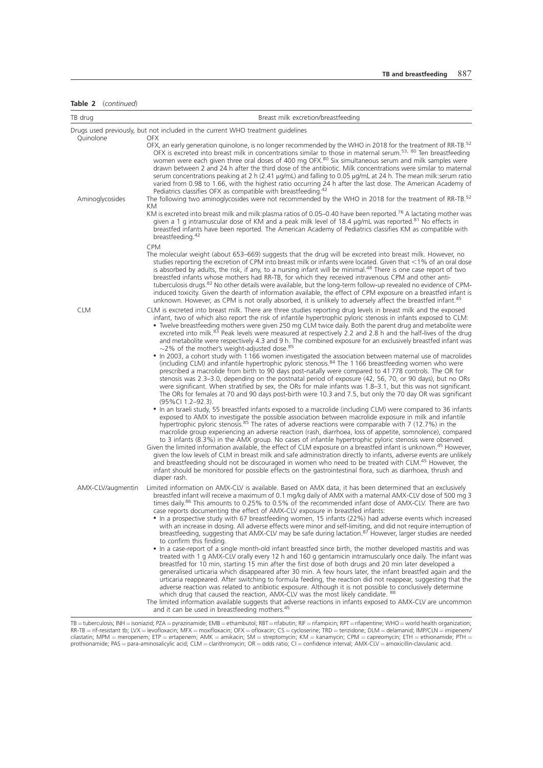## Table 2 (continued)

| TB drug           | Breast milk excretion/breastfeeding                                                                                                                                                                                                                                                                                                                                                                                                                                                                                                                                                                                                                                                                                                                                                                                                                                                                                                                                                                                                                                                                                                                                                                                                                                                                                                                                                                                                                                                                                                                                                                                                                                                                                                                                                |
|-------------------|------------------------------------------------------------------------------------------------------------------------------------------------------------------------------------------------------------------------------------------------------------------------------------------------------------------------------------------------------------------------------------------------------------------------------------------------------------------------------------------------------------------------------------------------------------------------------------------------------------------------------------------------------------------------------------------------------------------------------------------------------------------------------------------------------------------------------------------------------------------------------------------------------------------------------------------------------------------------------------------------------------------------------------------------------------------------------------------------------------------------------------------------------------------------------------------------------------------------------------------------------------------------------------------------------------------------------------------------------------------------------------------------------------------------------------------------------------------------------------------------------------------------------------------------------------------------------------------------------------------------------------------------------------------------------------------------------------------------------------------------------------------------------------|
| Quinolone         | Drugs used previously, but not included in the current WHO treatment quidelines<br><b>OFX</b>                                                                                                                                                                                                                                                                                                                                                                                                                                                                                                                                                                                                                                                                                                                                                                                                                                                                                                                                                                                                                                                                                                                                                                                                                                                                                                                                                                                                                                                                                                                                                                                                                                                                                      |
| Aminoglycosides   | OFX, an early generation guinolone, is no longer recommended by the WHO in 2018 for the treatment of RR-TB. <sup>52</sup><br>OFX is excreted into breast milk in concentrations similar to those in maternal serum. <sup>53, 80</sup> Ten breastfeeding<br>women were each given three oral doses of 400 mg OFX.80 Six simultaneous serum and milk samples were<br>drawn between 2 and 24 h after the third dose of the antibiotic. Milk concentrations were similar to maternal<br>serum concentrations peaking at 2 h (2.41 $\mu q/mL$ ) and falling to 0.05 $\mu q/mL$ at 24 h. The mean milk: serum ratio<br>varied from 0.98 to 1.66, with the highest ratio occurring 24 h after the last dose. The American Academy of<br>Pediatrics classifies OFX as compatible with breastfeeding. <sup>42</sup><br>The following two aminoglycosides were not recommended by the WHO in 2018 for the treatment of RR-TB. <sup>52</sup><br><b>KM</b><br>KM is excreted into breast milk and milk:plasma ratios of 0.05-0.40 have been reported. <sup>76</sup> A lactating mother was<br>given a 1 g intramuscular dose of KM and a peak milk level of 18.4 $\mu$ g/mL was reported. <sup>81</sup> No effects in<br>breastfed infants have been reported. The American Academy of Pediatrics classifies KM as compatible with<br>breastfeeding. <sup>42</sup>                                                                                                                                                                                                                                                                                                                                                                                                                             |
|                   | <b>CPM</b><br>The molecular weight (about 653–669) suggests that the drug will be excreted into breast milk. However, no<br>studies reporting the excretion of CPM into breast milk or infants were located. Given that $\lt 1\%$ of an oral dose<br>is absorbed by adults, the risk, if any, to a nursing infant will be minimal. <sup>48</sup> There is one case report of two<br>breastfed infants whose mothers had RR-TB, for which they received intravenous CPM and other anti-<br>tuberculosis drugs. <sup>82</sup> No other details were available, but the long-term follow-up revealed no evidence of CPM-<br>induced toxicity. Given the dearth of information available, the effect of CPM exposure on a breastfed infant is<br>unknown. However, as CPM is not orally absorbed, it is unlikely to adversely affect the breastfed infant. <sup>45</sup>                                                                                                                                                                                                                                                                                                                                                                                                                                                                                                                                                                                                                                                                                                                                                                                                                                                                                                               |
| <b>CLM</b>        | CLM is excreted into breast milk. There are three studies reporting drug levels in breast milk and the exposed<br>infant, two of which also report the risk of infantile hypertrophic pyloric stenosis in infants exposed to CLM:<br>. Twelve breastfeeding mothers were given 250 mg CLM twice daily. Both the parent drug and metabolite were<br>excreted into milk. <sup>83</sup> Peak levels were measured at respectively 2.2 and 2.8 h and the half-lives of the drug<br>and metabolite were respectively 4.3 and 9 h. The combined exposure for an exclusively breastfed infant was<br>$\sim$ 2% of the mother's weight-adjusted dose. <sup>85</sup><br>. In 2003, a cohort study with 1 166 women investigated the association between maternal use of macrolides<br>(including CLM) and infantile hypertrophic pyloric stenosis. <sup>84</sup> The 1166 breastfeeding women who were<br>prescribed a macrolide from birth to 90 days post-natally were compared to 41778 controls. The OR for<br>stenosis was 2.3-3.0, depending on the postnatal period of exposure (42, 56, 70, or 90 days), but no ORs<br>were significant. When stratified by sex, the ORs for male infants was 1.8–3.1, but this was not significant.<br>The ORs for females at 70 and 90 days post-birth were 10.3 and 7.5, but only the 70 day OR was significant                                                                                                                                                                                                                                                                                                                                                                                                                                  |
|                   | (95%CI 1.2-92.3).<br>• In an Israeli study, 55 breastfed infants exposed to a macrolide (including CLM) were compared to 36 infants<br>exposed to AMX to investigate the possible association between macrolide exposure in milk and infantile<br>hypertrophic pyloric stenosis. <sup>85</sup> The rates of adverse reactions were comparable with 7 (12.7%) in the<br>macrolide group experiencing an adverse reaction (rash, diarrhoea, loss of appetite, somnolence), compared<br>to 3 infants (8.3%) in the AMX group. No cases of infantile hypertrophic pyloric stenosis were observed.<br>Given the limited information available, the effect of CLM exposure on a breastfed infant is unknown. <sup>45</sup> However,<br>given the low levels of CLM in breast milk and safe administration directly to infants, adverse events are unlikely<br>and breastfeeding should not be discouraged in women who need to be treated with CLM. <sup>45</sup> However, the<br>infant should be monitored for possible effects on the gastrointestinal flora, such as diarrhoea, thrush and<br>diaper rash.                                                                                                                                                                                                                                                                                                                                                                                                                                                                                                                                                                                                                                                                           |
| AMX-CLV/augmentin | Limited information on AMX-CLV is available. Based on AMX data, it has been determined that an exclusively<br>breastfed infant will receive a maximum of 0.1 mg/kg daily of AMX with a maternal AMX-CLV dose of 500 mg 3<br>times daily. <sup>86</sup> This amounts to 0.25% to 0.5% of the recommended infant dose of AMX-CLV. There are two<br>case reports documenting the effect of AMX-CLV exposure in breastfed infants:<br>In a prospective study with 67 breastfeeding women, 15 infants (22%) had adverse events which increased<br>with an increase in dosing. All adverse effects were minor and self-limiting, and did not require interruption of<br>breastfeeding, suggesting that AMX-CLV may be safe during lactation. <sup>87</sup> However, larger studies are needed<br>to confirm this finding.<br>• In a case-report of a single month-old infant breastfed since birth, the mother developed mastitis and was<br>treated with 1 g AMX-CLV orally every 12 h and 160 g gentamicin intramuscularly once daily. The infant was<br>breastfed for 10 min, starting 15 min after the first dose of both drugs and 20 min later developed a<br>generalised urticaria which disappeared after 30 min. A few hours later, the infant breastfed again and the<br>urticaria reappeared. After switching to formula feeding, the reaction did not reappear, suggesting that the<br>adverse reaction was related to antibiotic exposure. Although it is not possible to conclusively determine<br>which drug that caused the reaction, AMX-CLV was the most likely candidate. <sup>88</sup><br>The limited information available suggests that adverse reactions in infants exposed to AMX-CLV are uncommon<br>and it can be used in breastfeeding mothers. <sup>45</sup> |

TB = tuberculosis; INH = isoniazid; PZA = pyrazinamide; EMB = ethambutol; RBT = rifabutin; RIF = rifampicin; RPT = rifapentine; WHO = world health organization;<br>RR-TB = rif-resistant tb; LVX = levofloxacin; MFX = moxiflo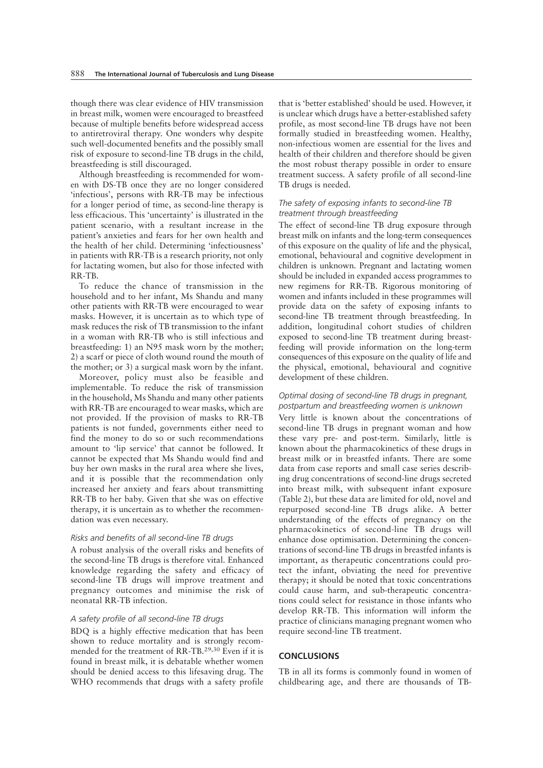though there was clear evidence of HIV transmission in breast milk, women were encouraged to breastfeed because of multiple benefits before widespread access to antiretroviral therapy. One wonders why despite such well-documented benefits and the possibly small risk of exposure to second-line TB drugs in the child, breastfeeding is still discouraged.

Although breastfeeding is recommended for women with DS-TB once they are no longer considered 'infectious', persons with RR-TB may be infectious for a longer period of time, as second-line therapy is less efficacious. This 'uncertainty' is illustrated in the patient scenario, with a resultant increase in the patient's anxieties and fears for her own health and the health of her child. Determining 'infectiousness' in patients with RR-TB is a research priority, not only for lactating women, but also for those infected with RR-TB.

To reduce the chance of transmission in the household and to her infant, Ms Shandu and many other patients with RR-TB were encouraged to wear masks. However, it is uncertain as to which type of mask reduces the risk of TB transmission to the infant in a woman with RR-TB who is still infectious and breastfeeding: 1) an N95 mask worn by the mother; 2) a scarf or piece of cloth wound round the mouth of the mother; or 3) a surgical mask worn by the infant.

Moreover, policy must also be feasible and implementable. To reduce the risk of transmission in the household, Ms Shandu and many other patients with RR-TB are encouraged to wear masks, which are not provided. If the provision of masks to RR-TB patients is not funded, governments either need to find the money to do so or such recommendations amount to 'lip service' that cannot be followed. It cannot be expected that Ms Shandu would find and buy her own masks in the rural area where she lives, and it is possible that the recommendation only increased her anxiety and fears about transmitting RR-TB to her baby. Given that she was on effective therapy, it is uncertain as to whether the recommendation was even necessary.

## Risks and benefits of all second-line TB drugs

A robust analysis of the overall risks and benefits of the second-line TB drugs is therefore vital. Enhanced knowledge regarding the safety and efficacy of second-line TB drugs will improve treatment and pregnancy outcomes and minimise the risk of neonatal RR-TB infection.

## A safety profile of all second-line TB drugs

BDQ is a highly effective medication that has been shown to reduce mortality and is strongly recommended for the treatment of RR-TB.29,30 Even if it is found in breast milk, it is debatable whether women should be denied access to this lifesaving drug. The WHO recommends that drugs with a safety profile that is 'better established' should be used. However, it is unclear which drugs have a better-established safety profile, as most second-line TB drugs have not been formally studied in breastfeeding women. Healthy, non-infectious women are essential for the lives and health of their children and therefore should be given the most robust therapy possible in order to ensure treatment success. A safety profile of all second-line TB drugs is needed.

## The safety of exposing infants to second-line TB treatment through breastfeeding

The effect of second-line TB drug exposure through breast milk on infants and the long-term consequences of this exposure on the quality of life and the physical, emotional, behavioural and cognitive development in children is unknown. Pregnant and lactating women should be included in expanded access programmes to new regimens for RR-TB. Rigorous monitoring of women and infants included in these programmes will provide data on the safety of exposing infants to second-line TB treatment through breastfeeding. In addition, longitudinal cohort studies of children exposed to second-line TB treatment during breastfeeding will provide information on the long-term consequences of this exposure on the quality of life and the physical, emotional, behavioural and cognitive development of these children.

## Optimal dosing of second-line TB drugs in pregnant, postpartum and breastfeeding women is unknown

Very little is known about the concentrations of second-line TB drugs in pregnant woman and how these vary pre- and post-term. Similarly, little is known about the pharmacokinetics of these drugs in breast milk or in breastfed infants. There are some data from case reports and small case series describing drug concentrations of second-line drugs secreted into breast milk, with subsequent infant exposure (Table 2), but these data are limited for old, novel and repurposed second-line TB drugs alike. A better understanding of the effects of pregnancy on the pharmacokinetics of second-line TB drugs will enhance dose optimisation. Determining the concentrations of second-line TB drugs in breastfed infants is important, as therapeutic concentrations could protect the infant, obviating the need for preventive therapy; it should be noted that toxic concentrations could cause harm, and sub-therapeutic concentrations could select for resistance in those infants who develop RR-TB. This information will inform the practice of clinicians managing pregnant women who require second-line TB treatment.

## **CONCLUSIONS**

TB in all its forms is commonly found in women of childbearing age, and there are thousands of TB-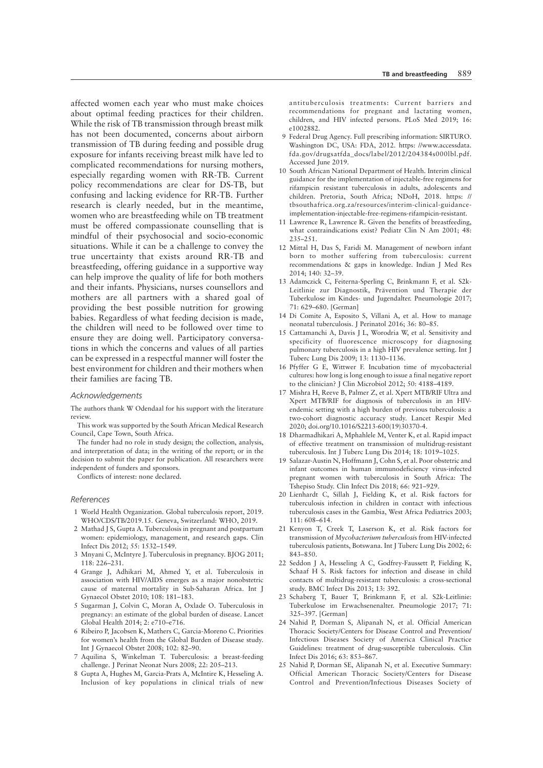affected women each year who must make choices about optimal feeding practices for their children. While the risk of TB transmission through breast milk has not been documented, concerns about airborn transmission of TB during feeding and possible drug exposure for infants receiving breast milk have led to complicated recommendations for nursing mothers, especially regarding women with RR-TB. Current policy recommendations are clear for DS-TB, but confusing and lacking evidence for RR-TB. Further research is clearly needed, but in the meantime, women who are breastfeeding while on TB treatment must be offered compassionate counselling that is mindful of their psychosocial and socio-economic situations. While it can be a challenge to convey the true uncertainty that exists around RR-TB and breastfeeding, offering guidance in a supportive way can help improve the quality of life for both mothers and their infants. Physicians, nurses counsellors and mothers are all partners with a shared goal of providing the best possible nutrition for growing babies. Regardless of what feeding decision is made, the children will need to be followed over time to ensure they are doing well. Participatory conversations in which the concerns and values of all parties can be expressed in a respectful manner will foster the best environment for children and their mothers when their families are facing TB.

#### Acknowledgements

The authors thank W Odendaal for his support with the literature review.

This work was supported by the South African Medical Research Council, Cape Town, South Africa.

The funder had no role in study design; the collection, analysis, and interpretation of data; in the writing of the report; or in the decision to submit the paper for publication. All researchers were independent of funders and sponsors.

Conflicts of interest: none declared.

#### References

- 1 World Health Organization. Global tuberculosis report, 2019. WHO/CDS/TB/2019.15. Geneva, Switzerland: WHO, 2019.
- 2 Mathad J S, Gupta A. Tuberculosis in pregnant and postpartum women: epidemiology, management, and research gaps. Clin Infect Dis 2012; 55: 1532–1549.
- 3 Mnyani C, McIntyre J. Tuberculosis in pregnancy. BJOG 2011; 118: 226–231.
- 4 Grange J, Adhikari M, Ahmed Y, et al. Tuberculosis in association with HIV/AIDS emerges as a major nonobstetric cause of maternal mortality in Sub-Saharan Africa. Int J Gynaecol Obstet 2010; 108: 181–183.
- 5 Sugarman J, Colvin C, Moran A, Oxlade O. Tuberculosis in pregnancy: an estimate of the global burden of disease. Lancet Global Health 2014; 2: e710–e716.
- 6 Ribeiro P, Jacobsen K, Mathers C, Garcia-Moreno C. Priorities for women's health from the Global Burden of Disease study. Int J Gynaecol Obstet 2008; 102: 82–90.
- 7 Aquilina S, Winkelman T. Tuberculosis: a breast-feeding challenge. J Perinat Neonat Nurs 2008; 22: 205–213.
- 8 Gupta A, Hughes M, Garcia-Prats A, McIntire K, Hesseling A. Inclusion of key populations in clinical trials of new

antituberculosis treatments: Current barriers and recommendations for pregnant and lactating women, children, and HIV infected persons. PLoS Med 2019; 16: e1002882.

- 9 Federal Drug Agency. Full prescribing information: SIRTURO. Washington DC, USA: FDA, 2012. https: //www.accessdata. fda.gov/drugsatfda\_docs/label/2012/204384s000lbl.pdf. Accessed June 2019.
- 10 South African National Department of Health. Interim clinical guidance for the implementation of injectable-free regimens for rifampicin resistant tuberculosis in adults, adolescents and children. Pretoria, South Africa; NDoH, 2018. https: // tbsouthafrica.org.za/resources/interim-clinical-guidanceimplementation-injectable-free-regimens-rifampicin-resistant.
- 11 Lawrence R, Lawrence R. Given the benefits of breastfeeding, what contraindications exist? Pediatr Clin N Am 2001; 48: 235–251.
- 12 Mittal H, Das S, Faridi M. Management of newborn infant born to mother suffering from tuberculosis: current recommendations & gaps in knowledge. Indian J Med Res 2014; 140: 32–39.
- 13 Adamczick C, Feiterna-Sperling C, Brinkmann F, et al. S2k-Leitlinie zur Diagnostik, Prävention und Therapie der Tuberkulose im Kindes- und Jugendalter. Pneumologie 2017; 71: 629–680. [German]
- 14 Di Comite A, Esposito S, Villani A, et al. How to manage neonatal tuberculosis. J Perinatol 2016; 36: 80–85.
- 15 Cattamanchi A, Davis J L, Worodria W, et al. Sensitivity and specificity of fluorescence microscopy for diagnosing pulmonary tuberculosis in a high HIV prevalence setting. Int J Tuberc Lung Dis 2009; 13: 1130–1136.
- 16 Pfyffer G E, Wittwer F. Incubation time of mycobacterial cultures: how long is long enough to issue a final negative report to the clinician? J Clin Microbiol 2012; 50: 4188–4189.
- 17 Mishra H, Reeve B, Palmer Z, et al. Xpert MTB/RIF Ultra and Xpert MTB/RIF for diagnosis of tuberculosis in an HIVendemic setting with a high burden of previous tuberculosis: a two-cohort diagnostic accuracy study. Lancet Respir Med 2020; doi.org/10.1016/S2213-600(19)30370-4.
- 18 Dharmadhikari A, Mphahlele M, Venter K, et al. Rapid impact of effective treatment on transmission of multidrug-resistant tuberculosis. Int J Tuberc Lung Dis 2014; 18: 1019–1025.
- 19 Salazar-Austin N, Hoffmann J, Cohn S, et al. Poor obstetric and infant outcomes in human immunodeficiency virus-infected pregnant women with tuberculosis in South Africa: The Tshepiso Study. Clin Infect Dis 2018; 66: 921–929.
- 20 Lienhardt C, Sillah J, Fielding K, et al. Risk factors for tuberculosis infection in children in contact with infectious tuberculosis cases in the Gambia, West Africa Pediatrics 2003; 111: 608–614.
- 21 Kenyon T, Creek T, Laserson K, et al. Risk factors for transmission of Mycobacterium tuberculosis from HIV-infected tuberculosis patients, Botswana. Int J Tuberc Lung Dis 2002; 6: 843–850.
- 22 Seddon J A, Hesseling A C, Godfrey-Faussett P, Fielding K, Schaaf H S. Risk factors for infection and disease in child contacts of multidrug-resistant tuberculosis: a cross-sectional study. BMC Infect Dis 2013; 13: 392.
- 23 Schaberg T, Bauer T, Brinkmann F, et al. S2k-Leitlinie: Tuberkulose im Erwachsenenalter. Pneumologie 2017; 71: 325–397. [German]
- 24 Nahid P, Dorman S, Alipanah N, et al. Official American Thoracic Society/Centers for Disease Control and Prevention/ Infectious Diseases Society of America Clinical Practice Guidelines: treatment of drug-susceptible tuberculosis. Clin Infect Dis 2016; 63: 853–867.
- 25 Nahid P, Dorman SE, Alipanah N, et al. Executive Summary: Official American Thoracic Society/Centers for Disease Control and Prevention/Infectious Diseases Society of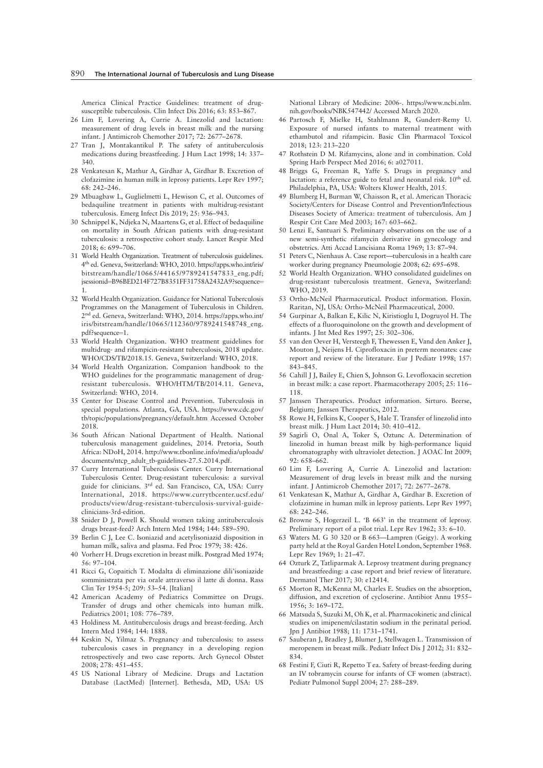America Clinical Practice Guidelines: treatment of drugsusceptible tuberculosis. Clin Infect Dis 2016; 63: 853–867.

- 26 Lim F, Lovering A, Currie A. Linezolid and lactation: measurement of drug levels in breast milk and the nursing infant. J Antimicrob Chemother 2017; 72: 2677–2678.
- 27 Tran J, Montakantikul P. The safety of antituberculosis medications during breastfeeding. J Hum Lact 1998; 14: 337– 340.
- 28 Venkatesan K, Mathur A, Girdhar A, Girdhar B. Excretion of clofazimine in human milk in leprosy patients. Lepr Rev 1997;  $68.742 - 246$
- 29 Mbuagbaw L, Guglielmetti L, Hewison C, et al. Outcomes of bedaquiline treatment in patients with multidrug-resistant tuberculosis. Emerg Infect Dis 2019; 25: 936–943.
- 30 Schnippel K, Ndjeka N, Maartens G, et al. Effect of bedaquiline on mortality in South African patients with drug-resistant tuberculosis: a retrospective cohort study. Lancet Respir Med 2018; 6: 699–706.
- 31 World Health Organization. Treatment of tuberculosis guidelines. 4th ed. Geneva, Switzerland: WHO, 2010. https://apps.who.int/iris/ bitstream/handle/10665/44165/9789241547833\_eng.pdf; jsessionid=B96BED214F727B8351FF31758A2432A9?sequence= 1.
- 32 World Health Organization. Guidance for National Tuberculosis Programmes on the Management of Tuberculosis in Children. 2nd ed. Geneva, Switzerland: WHO, 2014. https://apps.who.int/ iris/bitstream/handle/10665/112360/9789241548748\_eng. pdf?sequence=1.
- 33 World Health Organization. WHO treatment guidelines for multidrug- and rifampicin-resistant tuberculosis, 2018 update. WHO/CDS/TB/2018.15. Geneva, Switzerland: WHO, 2018.
- 34 World Health Organization. Companion handbook to the WHO guidelines for the programmatic management of drugresistant tuberculosis. WHO/HTM/TB/2014.11. Geneva, Switzerland: WHO, 2014.
- 35 Center for Disease Control and Prevention. Tuberculosis in special populations. Atlanta, GA, USA. https://www.cdc.gov/ tb/topic/populations/pregnancy/default.htm Accessed October 2018.
- 36 South African National Department of Health. National tuberculosis management guidelines, 2014. Pretoria, South Africa: NDoH, 2014. http://www.tbonline.info/media/uploads/ documents/ntcp\_adult\_tb-guidelines-27.5.2014.pdf.
- 37 Curry International Tuberculosis Center. Curry International Tuberculosis Center. Drug-resistant tuberculosis: a survival guide for clinicians. 3rd ed. San Francisco, CA, USA: Curry International, 2018. https://www.currytbcenter.ucsf.edu/ products/view/drug-resistant-tuberculosis-survival-guideclinicians-3rd-edition.
- 38 Snider D J, Powell K. Should women taking antituberculosis drugs breast-feed? Arch Intern Med 1984; 144: 589–590.
- 39 Berlin C J, Lee C. Isoniazid and acetylisoniazid disposition in human milk, saliva and plasma. Fed Proc 1979; 38: 426.
- 40 Vorherr H. Drugs excretion in breast milk. Postgrad Med 1974; 56: 97–104.
- 41 Ricci G, Copaitich T. Modalta di eliminazione dili'isoniazide somministrata per via orale attraverso il latte di donna. Rass Clin Ter 1954-5; 209: 53–54. [Italian]
- 42 American Academy of Pediatrics Committee on Drugs. Transfer of drugs and other chemicals into human milk. Pediatrics 2001; 108: 776–789.
- 43 Holdiness M. Antituberculosis drugs and breast-feeding. Arch Intern Med 1984; 144: 1888.
- 44 Keskin N, Yilmaz S. Pregnancy and tuberculosis: to assess tuberculosis cases in pregnancy in a developing region retrospectively and two case reports. Arch Gynecol Obstet 2008; 278: 451–455.
- 45 US National Library of Medicine. Drugs and Lactation Database (LactMed) [Internet]. Bethesda, MD, USA: US

National Library of Medicine: 2006-. https://www.ncbi.nlm. nih.gov/books/NBK547442/ Accessed March 2020.

- 46 Partosch F, Mielke H, Stahlmann R, Gundert-Remy U. Exposure of nursed infants to maternal treatment with ethambutol and rifampicin. Basic Clin Pharmacol Toxicol 2018; 123: 213–220
- 47 Rothstein D M. Rifamycins, alone and in combination. Cold Spring Harb Perspect Med 2016; 6: a027011.
- 48 Briggs G, Freeman R, Yaffe S. Drugs in pregnancy and lactation: a reference guide to fetal and neonatal risk.  $10^{th}$  ed. Philadelphia, PA, USA: Wolters Kluwer Health, 2015.
- 49 Blumberg H, Burman W, Chaisson R, et al. American Thoracic Society/Centers for Disease Control and Prevention/Infectious Diseases Society of America: treatment of tuberculosis. Am J Respir Crit Care Med 2003; 167: 603–662.
- 50 Lenzi E, Santuari S. Preliminary observations on the use of a new semi-synthetic rifamycin derivative in gynecology and obstetrics. Atti Accad Lancisiana Roma 1969; 13: 87–94.
- 51 Peters C, Nienhaus A. Case report—tuberculosis in a health care worker during pregnancy Pneumologie 2008; 62: 695–698.
- 52 World Health Organization. WHO consolidated guidelines on drug-resistant tuberculosis treatment. Geneva, Switzerland: WHO, 2019.
- 53 Ortho-McNeil Pharmaceutical. Product information. Floxin. Raritan, NJ, USA: Ortho-McNeil Pharmaceutical, 2000.
- 54 Gurpinar A, Balkan E, Kilic N, Kiristioglu I, Dogruyol H. The effects of a fluoroquinolone on the growth and development of infants. J Int Med Res 1997; 25: 302–306.
- 55 van den Oever H, Versteegh F, Thewessen E, Vand den Anker J, Mouton J, Neijens H. Ciprofloxacin in preterm neonates: case report and review of the literature. Eur J Pediatr 1998; 157: 843–845.
- 56 Cahill J J, Bailey E, Chien S, Johnson G. Levofloxacin secretion in breast milk: a case report. Pharmacotherapy 2005; 25: 116– 118.
- 57 Janssen Therapeutics. Product information. Sirturo. Beerse, Belgium; Janssen Therapeutics, 2012.
- 58 Rowe H, Felkins K, Cooper S, Hale T. Transfer of linezolid into breast milk. J Hum Lact 2014; 30: 410–412.
- 59 Sagirli O, Onal A, Toker S, Oztunc A. Determination of linezolid in human breast milk by high-performance liquid chromatography with ultraviolet detection. J AOAC Int 2009; 92: 658–662.
- 60 Lim F, Lovering A, Currie A. Linezolid and lactation: Measurement of drug levels in breast milk and the nursing infant. J Antimicrob Chemother 2017; 72: 2677–2678.
- 61 Venkatesan K, Mathur A, Girdhar A, Girdhar B. Excretion of clofazimine in human milk in leprosy patients. Lepr Rev 1997; 68: 242–246.
- 62 Browne S, Hogerzeil L. 'B 663' in the treatment of leprosy. Preliminary report of a pilot trial. Lepr Rev 1962; 33: 6–10.
- 63 Waters M. G 30 320 or B 663—Lampren (Geigy). A working party held at the Royal Garden Hotel London, September 1968. Lepr Rev 1969; 1: 21–47.
- 64 Ozturk Z, Tatliparmak A. Leprosy treatment during pregnancy and breastfeeding: a case report and brief review of literature. Dermatol Ther 2017; 30: e12414.
- 65 Morton R, McKenna M, Charles E. Studies on the absorption, diffusion, and excretion of cycloserine. Antibiot Annu 1955– 1956; 3: 169–172.
- 66 Matsuda S, Suzuki M, Oh K, et al. Pharmacokinetic and clinical studies on imipenem/cilastatin sodium in the perinatal period. Jpn J Antibiot 1988; 11: 1731–1741.
- 67 Sauberan J, Bradley J, Blumer J, Stellwagen L. Transmission of meropenem in breast milk. Pediatr Infect Dis J 2012; 31: 832– 834.
- 68 Festini F, Ciuti R, Repetto T ea. Safety of breast-feeding during an IV tobramycin course for infants of CF women (abstract). Pediatr Pulmonol Suppl 2004; 27: 288–289.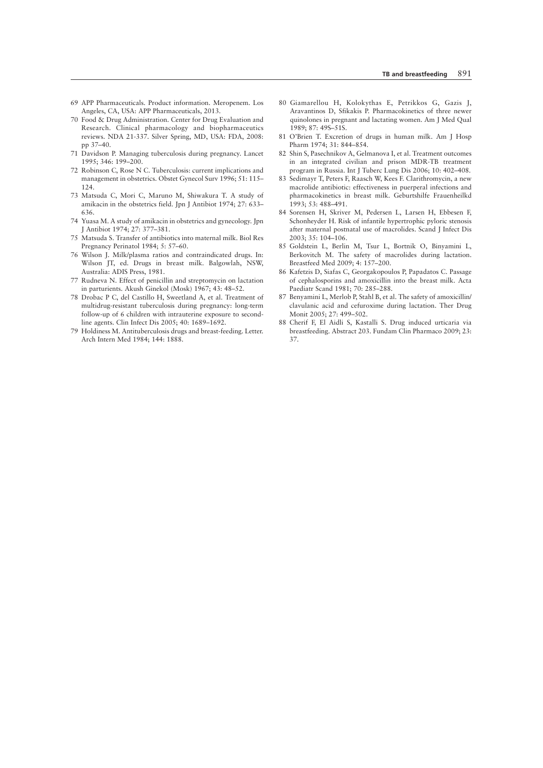- 69 APP Pharmaceuticals. Product information. Meropenem. Los Angeles, CA, USA: APP Pharmaceuticals, 2013.
- 70 Food & Drug Administration. Center for Drug Evaluation and Research. Clinical pharmacology and biopharmaceutics reviews. NDA 21-337. Silver Spring, MD, USA: FDA, 2008: pp 37–40.
- 71 Davidson P. Managing tuberculosis during pregnancy. Lancet 1995; 346: 199–200.
- 72 Robinson C, Rose N C. Tuberculosis: current implications and management in obstetrics. Obstet Gynecol Surv 1996; 51: 115– 124.
- 73 Matsuda C, Mori C, Maruno M, Shiwakura T. A study of amikacin in the obstetrics field. Jpn J Antibiot 1974; 27: 633– 636.
- 74 Yuasa M. A study of amikacin in obstetrics and gynecology. Jpn J Antibiot 1974; 27: 377–381.
- 75 Matsuda S. Transfer of antibiotics into maternal milk. Biol Res Pregnancy Perinatol 1984; 5: 57–60.
- 76 Wilson J. Milk/plasma ratios and contraindicated drugs. In: Wilson JT, ed. Drugs in breast milk. Balgowlah, NSW, Australia: ADIS Press, 1981.
- 77 Rudneva N. Effect of penicillin and streptomycin on lactation in parturients. Akush Ginekol (Mosk) 1967; 43: 48–52.
- 78 Drobac P C, del Castillo H, Sweetland A, et al. Treatment of multidrug-resistant tuberculosis during pregnancy: long-term follow-up of 6 children with intrauterine exposure to secondline agents. Clin Infect Dis 2005; 40: 1689–1692.
- 79 Holdiness M. Antituberculosis drugs and breast-feeding. Letter. Arch Intern Med 1984; 144: 1888.
- 80 Giamarellou H, Kolokythas E, Petrikkos G, Gazis J, Aravantinos D, Sfikakis P. Pharmacokinetics of three newer quinolones in pregnant and lactating women. Am J Med Qual 1989; 87: 49S–51S.
- 81 O'Brien T. Excretion of drugs in human milk. Am J Hosp Pharm 1974; 31: 844–854.
- 82 Shin S, Pasechnikov A, Gelmanova I, et al. Treatment outcomes in an integrated civilian and prison MDR-TB treatment program in Russia. Int J Tuberc Lung Dis 2006; 10: 402–408.
- 83 Sedimayr T, Peters F, Raasch W, Kees F. Clarithromycin, a new macrolide antibiotic: effectiveness in puerperal infections and pharmacokinetics in breast milk. Geburtshilfe Frauenheilkd 1993; 53: 488–491.
- 84 Sorensen H, Skriver M, Pedersen L, Larsen H, Ebbesen F, Schonheyder H. Risk of infantile hypertrophic pyloric stenosis after maternal postnatal use of macrolides. Scand J Infect Dis 2003; 35: 104–106.
- 85 Goldstein L, Berlin M, Tsur L, Bortnik O, Binyamini L, Berkovitch M. The safety of macrolides during lactation. Breastfeed Med 2009; 4: 157–200.
- 86 Kafetzis D, Siafas C, Georgakopoulos P, Papadatos C. Passage of cephalosporins and amoxicillin into the breast milk. Acta Paediatr Scand 1981; 70: 285–288.
- 87 Benyamini L, Merlob P, Stahl B, et al. The safety of amoxicillin/ clavulanic acid and cefuroxime during lactation. Ther Drug Monit 2005; 27: 499–502.
- 88 Cherif F, El Aidli S, Kastalli S. Drug induced urticaria via breastfeeding. Abstract 203. Fundam Clin Pharmaco 2009; 23: 37.